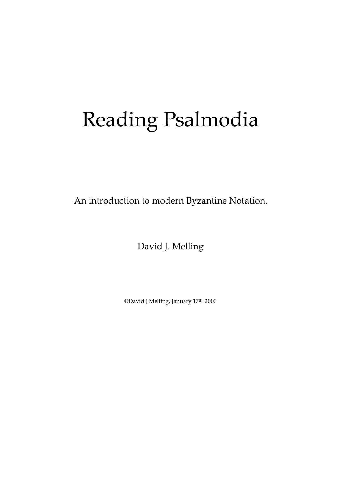# Reading Psalmodia

An introduction to modern Byzantine Notation.

David J. Melling

©David J Melling, January 17th 2000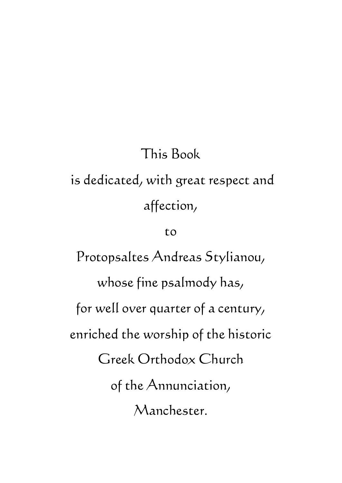## This Book

 is dedicated, with great respect and affection,

### to

Protopsaltes Andreas Stylianou, whose fine psalmody has, for well over quarter of a century, enriched the worship of the historic Greek Orthodox Church of the Annunciation, Manchester.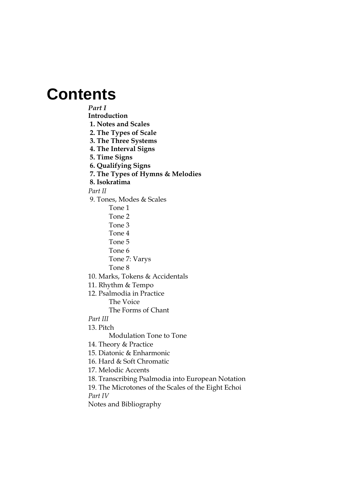### **Contents**

*Part I* **Introduction 1. Notes and Scales 2. The Types of Scale 3. The Three Systems 4. The Interval Signs 5. Time Signs 6. Qualifying Signs 7. The Types of Hymns & Melodies 8. Isokratima** *Part II* 9. Tones, Modes & Scales Tone 1 Tone 2 Tone 3 Tone 4 Tone 5 Tone 6 Tone 7: Varys Tone 8 10. Marks, Tokens & Accidentals 11. Rhythm & Tempo 12. Psalmodia in Practice The Voice The Forms of Chant *Part III* 13. Pitch Modulation Tone to Tone 14. Theory & Practice 15. Diatonic & Enharmonic 16. Hard & Soft Chromatic 17. Melodic Accents 18. Transcribing Psalmodia into European Notation 19. The Microtones of the Scales of the Eight Echoi *Part IV* Notes and Bibliography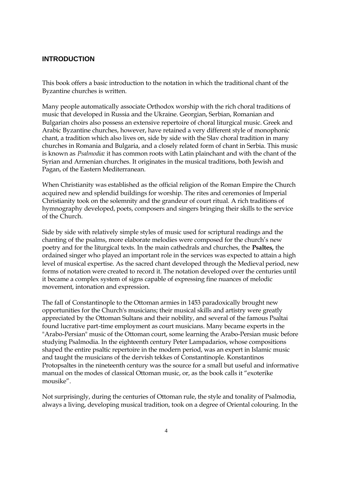#### **INTRODUCTION**

This book offers a basic introduction to the notation in which the traditional chant of the Byzantine churches is written.

Many people automatically associate Orthodox worship with the rich choral traditions of music that developed in Russia and the Ukraine. Georgian, Serbian, Romanian and Bulgarian choirs also possess an extensive repertoire of choral liturgical music. Greek and Arabic Byzantine churches, however, have retained a very different style of monophonic chant, a tradition which also lives on, side by side with the Slav choral tradition in many churches in Romania and Bulgaria, and a closely related form of chant in Serbia. This music is known as *Psalmodia:* it has common roots with Latin plainchant and with the chant of the Syrian and Armenian churches. It originates in the musical traditions, both Jewish and Pagan, of the Eastern Mediterranean.

When Christianity was established as the official religion of the Roman Empire the Church acquired new and splendid buildings for worship. The rites and ceremonies of Imperial Christianity took on the solemnity and the grandeur of court ritual. A rich traditions of hymnography developed, poets, composers and singers bringing their skills to the service of the Church.

Side by side with relatively simple styles of music used for scriptural readings and the chanting of the psalms, more elaborate melodies were composed for the church's new poetry and for the liturgical texts. In the main cathedrals and churches, the **Psaltes,** the ordained singer who played an important role in the services was expected to attain a high level of musical expertise. As the sacred chant developed through the Medieval period, new forms of notation were created to record it. The notation developed over the centuries until it became a complex system of signs capable of expressing fine nuances of melodic movement, intonation and expression.

The fall of Constantinople to the Ottoman armies in 1453 paradoxically brought new opportunities for the Church's musicians; their musical skills and artistry were greatly appreciated by the Ottoman Sultans and their nobility, and several of the famous Psaltai found lucrative part-time employment as court musicians. Many became experts in the "Arabo-Persian" music of the Ottoman court, some learning the Arabo-Persian music before studying Psalmodia. In the eighteenth century Peter Lampadarios, whose compositions shaped the entire psaltic repertoire in the modern period, was an expert in Islamic music and taught the musicians of the dervish tekkes of Constantinople. Konstantinos Protopsaltes in the nineteenth century was the source for a small but useful and informative manual on the modes of classical Ottoman music, or, as the book calls it "exoterike mousike".

Not surprisingly, during the centuries of Ottoman rule, the style and tonality of Psalmodia, always a living, developing musical tradition, took on a degree of Oriental colouring. In the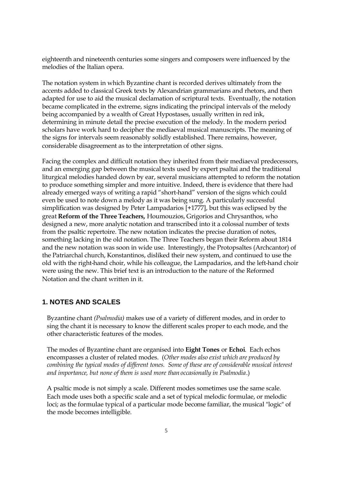eighteenth and nineteenth centuries some singers and composers were influenced by the melodies of the Italian opera.

The notation system in which Byzantine chant is recorded derives ultimately from the accents added to classical Greek texts by Alexandrian grammarians and rhetors, and then adapted for use to aid the musical declamation of scriptural texts. Eventually, the notation became complicated in the extreme, signs indicating the principal intervals of the melody being accompanied by a wealth of Great Hypostases, usually written in red ink, determining in minute detail the precise execution of the melody. In the modern period scholars have work hard to decipher the mediaeval musical manuscripts. The meaning of the signs for intervals seem reasonably solidly established. There remains, however, considerable disagreement as to the interpretation of other signs.

Facing the complex and difficult notation they inherited from their mediaeval predecessors, and an emerging gap between the musical texts used by expert psaltai and the traditional liturgical melodies handed down by ear, several musicians attempted to reform the notation to produce something simpler and more intuitive. Indeed, there is evidence that there had already emerged ways of writing a rapid "short-hand" version of the signs which could even be used to note down a melody as it was being sung. A particularly successful simplification was designed by Peter Lampadarios [+1777], but this was eclipsed by the great **Reform of the Three Teachers,** Houmouzios, Grigorios and Chrysanthos, who designed a new, more analytic notation and transcribed into it a colossal number of texts from the psaltic repertoire. The new notation indicates the precise duration of notes, something lacking in the old notation. The Three Teachers began their Reform about 1814 and the new notation was soon in wide use. Interestingly, the Protopsaltes (Archcantor) of the Patriarchal church, Konstantinos, disliked their new system, and continued to use the old with the right-hand choir, while his colleague, the Lampadarios, and the left-hand choir were using the new. This brief text is an introduction to the nature of the Reformed Notation and the chant written in it.

#### **1. NOTES AND SCALES**

Byzantine chant *(Psalmodia)* makes use of a variety of different modes, and in order to sing the chant it is necessary to know the different scales proper to each mode, and the other characteristic features of the modes.

The modes of Byzantine chant are organised into **Eight Tones** or **Echoi**. Each echos encompasses a cluster of related modes. (*Other modes also exist which are produced by combining the typical modes of different tones. Some of these are of considerable musical interest and importance, but none of them is used more than occasionally in Psalmodia*.)

A psaltic mode is not simply a scale. Different modes sometimes use the same scale. Each mode uses both a specific scale and a set of typical melodic formulae, or melodic loci; as the formulae typical of a particular mode become familiar, the musical "logic" of the mode becomes intelligible.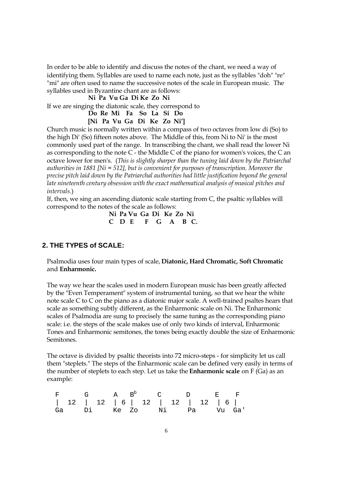In order to be able to identify and discuss the notes of the chant, we need a way of identifying them. Syllables are used to name each note, just as the syllables "doh" "re" "mi" are often used to name the successive notes of the scale in European music. The syllables used in Byzantine chant are as follows:

**Ni Pa Vu Ga Di Ke Zo Ni**

If we are singing the diatonic scale, they correspond to

**Do Re Mi Fa So La Si Do [Ni Pa Vu Ga Di Ke Zo Ni']**

Church music is normally written within a compass of two octaves from low di (So) to the high Di' (So) fifteen notes above. The Middle of this, from Ni to Ni' is the most commonly used part of the range. In transcribing the chant, we shall read the lower Ni as corresponding to the note C - the Middle C of the piano for women's voices, the C an octave lower for men's. (*This is slightly sharper than the tuning laid down by the Patriarchal authorities in 1881 [Ni = 512], but is convenient for purposes of transcription. Moreover the precise pitch laid down by the Patriarchal authorities had little justification beyond the general late nineteenth century obsession with the exact mathematical analysis of musical pitches and intervals.*)

If, then, we sing an ascending diatonic scale starting from C, the psaltic syllables will correspond to the notes of the scale as follows:

> **Ni Pa Vu Ga Di Ke Zo Ni C D E F G A B C.**

#### **2. THE TYPES of SCALE:**

Psalmodia uses four main types of scale, **Diatonic, Hard Chromatic, Soft Chromatic**  and **Enharmonic.** 

The way we hear the scales used in modern European music has been greatly affected by the "Even Temperament" system of instrumental tuning, so that we hear the white note scale C to C on the piano as a diatonic major scale. A well-trained psaltes hears that scale as something subtly different, as the Enharmonic scale on Ni. The Enharmonic scales of Psalmodia are sung to precisely the same tuning as the corresponding piano scale: i.e. the steps of the scale makes use of only two kinds of interval, Enharmonic Tones and Enharmonic semitones, the tones being exactly double the size of Enharmonic Semitones.

The octave is divided by psaltic theorists into 72 micro-steps - for simplicity let us call them "steplets." The steps of the Enharmonic scale can be defined very easily in terms of the number of steplets to each step. Let us take the **Enharmonic scale** on F (Ga) as an example:

 F G A B<sup>b</sup> C D E F | 12 | 12 | 6 | 12 | 12 | 12 | 6 | Ga Di Ke Zo Ni Pa Vu Ga'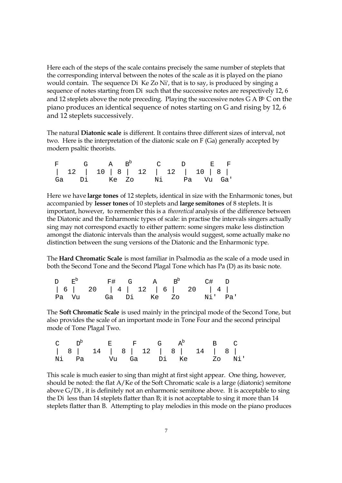Here each of the steps of the scale contains precisely the same number of steplets that the corresponding interval between the notes of the scale as it is played on the piano would contain. The sequence Di Ke Zo Ni', that is to say, is produced by singing a sequence of notes starting from Di such that the successive notes are respectively 12, 6 and 12 steplets above the note preceding. Playing the successive notes  $G A B^b C$  on the piano produces an identical sequence of notes starting on G and rising by 12, 6 and 12 steplets successively.

The natural **Diatonic scale** is different. It contains three different sizes of interval, not two. Here is the interpretation of the diatonic scale on F (Ga) generally accepted by modern psaltic theorists.

| Ga Di Ke-Zo Ni Pa Vu-Ga' |  |  |  |  |  |  |  |
|--------------------------|--|--|--|--|--|--|--|

Here we have **large tones** of 12 steplets, identical in size with the Enharmonic tones, but accompanied by **lesser tones** of 10 steplets and **large semitones** of 8 steplets. It is important, however, to remember this is a *theoretical* analysis of the difference between the Diatonic and the Enharmonic types of scale: in practise the intervals singers actually sing may not correspond exactly to either pattern: some singers make less distinction amongst the diatonic intervals than the analysis would suggest, some actually make no distinction between the sung versions of the Diatonic and the Enharmonic type.

The **Hard Chromatic Scale** is most familiar in Psalmodia as the scale of a mode used in both the Second Tone and the Second Plagal Tone which has Pa (D) as its basic note.

|  |  |  | $D$ $E^b$ $F#$ G A $B^b$ C# D            |  |  |
|--|--|--|------------------------------------------|--|--|
|  |  |  |                                          |  |  |
|  |  |  | Pa Vu   Ga   Di   Ke   Zo      Ni'   Pa' |  |  |

The **Soft Chromatic Scale** is used mainly in the principal mode of the Second Tone, but also provides the scale of an important mode in Tone Four and the second principal mode of Tone Plagal Two.

| $C$ $D^b$ $E$ $F$ $G$ $A^b$ $B$ $C$ |  |  |  |  |  |
|-------------------------------------|--|--|--|--|--|
| 8   14   8   12   8   14   8        |  |  |  |  |  |
|                                     |  |  |  |  |  |

This scale is much easier to sing than might at first sight appear. One thing, however, should be noted: the flat A/Ke of the Soft Chromatic scale is a large (diatonic) semitone above G/Di , it is definitely not an enharmonic semitone above. It is acceptable to sing the Di less than 14 steplets flatter than B; it is not acceptable to sing it more than 14 steplets flatter than B. Attempting to play melodies in this mode on the piano produces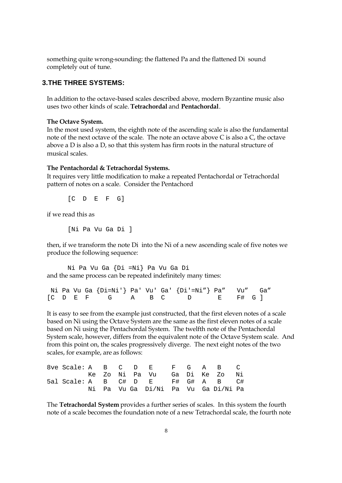something quite wrong-sounding: the flattened Pa and the flattened Di sound completely out of tune.

#### **3.THE THREE SYSTEMS:**

In addition to the octave-based scales described above, modern Byzantine music also uses two other kinds of scale. **Tetrachordal** and **Pentachordal**.

#### **The Octave System.**

In the most used system, the eighth note of the ascending scale is also the fundamental note of the next octave of the scale. The note an octave above C is also a C, the octave above a D is also a D, so that this system has firm roots in the natural structure of musical scales.

#### **The Pentachordal & Tetrachordal Systems.**

It requires very little modification to make a repeated Pentachordal or Tetrachordal pattern of notes on a scale. Consider the Pentachord

 $[$ C D E F G $]$ 

if we read this as

[Ni Pa Vu Ga Di ]

then, if we transform the note Di into the Ni of a new ascending scale of five notes we produce the following sequence:

Ni Pa Vu Ga {Di =Ni} Pa Vu Ga Di and the same process can be repeated indefinitely many times:

 Ni Pa Vu Ga {Di=Ni'} Pa' Vu' Ga' {Di'=Ni"} Pa" Vu" Ga" [C D E F G A B C D E F# G ]

It is easy to see from the example just constructed, that the first eleven notes of a scale based on Ni using the Octave System are the same as the first eleven notes of a scale based on Ni using the Pentachordal System. The twelfth note of the Pentachordal System scale, however, differs from the equivalent note of the Octave System scale. And from this point on, the scales progressively diverge. The next eight notes of the two scales, for example, are as follows:

| 8ve Scale: A B C D E F G A B C     |  |  |                                     |  |  |  |
|------------------------------------|--|--|-------------------------------------|--|--|--|
|                                    |  |  | Ke Zo Ni Pa Vu Ga Di Ke Zo Ni       |  |  |  |
| 5al Scale: A B C# D E F# G# A B C# |  |  |                                     |  |  |  |
|                                    |  |  | Ni Pa Vu Ga Di/Ni Pa Vu Ga-Di/Ni-Pa |  |  |  |

The **Tetrachordal System** provides a further series of scales. In this system the fourth note of a scale becomes the foundation note of a new Tetrachordal scale, the fourth note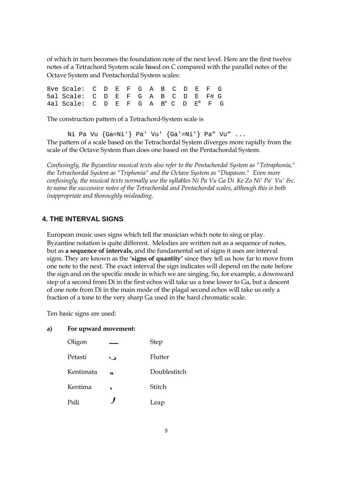of which in turn becomes the foundation note of the next level. Here are the first twelve notes of a Tetrachord System scale based on C compared with the parallel notes of the Octave System and Pentachordal System scales:

| 8ve Scale: C D E F G A B C D E F G                  |  |  |  |  |  |  |
|-----------------------------------------------------|--|--|--|--|--|--|
| 5al Scale: C D E F G A B C D E F# G                 |  |  |  |  |  |  |
| 4al Scale: C D E F G A $B^b$ C D E <sup>B</sup> F G |  |  |  |  |  |  |

The construction pattern of a Tetrachord-System scale is

Ni Pa Vu {Ga=Ni'} Pa' Vu' {Ga'=Ni'} Pa" Vu" ... The pattern of a scale based on the Tetrachordal System diverges more rapidly from the scale of the Octave System than does one based on the Pentachordal System.

*Confusingly, the Byzantine musical texts also refer to the Pentachordal System as "Tetraphonia," the Tetrachordal System as "Triphonia" and the Octave System as "Diapason." Even more confusingly, the musical texts normally use the syllables Ni Pa Vu Ga Di Ke Zo Ni' Pa' Vu' &c. to name the successive notes of the Tetrachordal and Pentachordal scales, although this is both inappropriate and thoroughly misleading.* 

#### **4. THE INTERVAL SIGNS**

European music uses signs which tell the musician which note to sing or play. Byzantine notation is quite different. Melodies are written not as a sequence of notes, but as **a sequence of intervals,** and the fundamental set of signs it uses are interval signs. They are known as the "**signs of quantity**" since they tell us how far to move from one note to the next. The exact interval the sign indicates will depend on the note before the sign and on the specific mode in which we are singing. So, for example, a downward step of a second from Di in the first echos will take us a tone lower to Ga, but a descent of one note from Di in the main mode of the plagal second echos will take us only a fraction of a tone to the very sharp Ga used in the hard chromatic scale.

Ten basic signs are used:

#### **a) For upward movement:**

| Oligon    |    | <b>Step</b>  |
|-----------|----|--------------|
| Petasti   | c) | Flutter      |
| Kentimata | n  | Doublestitch |
| Kentima   |    | Stitch       |
| Psili     |    | Leap         |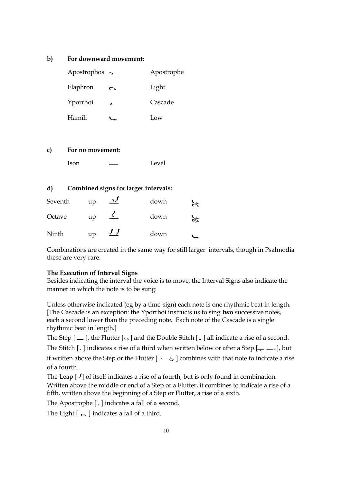#### **b) For downward movement:**

| Apostrophos $\rightarrow$ |                          | Apostrophe |
|---------------------------|--------------------------|------------|
| Elaphron                  | $\overline{\phantom{1}}$ | Light      |
| Yporrhoi                  |                          | Cascade    |
| Hamili                    |                          | Low        |

#### **c) For no movement:**

Ison — Level

#### **d) Combined signs for larger intervals:**

| Seventh | up | עי                  | down |   |
|---------|----|---------------------|------|---|
| Octave  | up |                     | down | ぞ |
| Ninth   | up | $\lambda$ $\lambda$ | down |   |

Combinations are created in the same way for still larger intervals, though in Psalmodia these are very rare.

#### **The Execution of Interval Signs**

Besides indicating the interval the voice is to move, the Interval Signs also indicate the manner in which the note is to be sung:

Unless otherwise indicated (eg by a time-sign) each note is one rhythmic beat in length. [The Cascade is an exception: the Yporrhoi instructs us to sing **two** successive notes, each a second lower than the preceding note. Each note of the Cascade is a single rhythmic beat in length.]

The Step  $\lceil \underline{\hspace{1cm}} \rceil$ , the Flutter  $\lceil \underline{\hspace{1cm}} \rceil$  and the Double Stitch  $\lceil \underline{\hspace{1cm}} \rceil$  all indicate a rise of a second.

The Stitch [, ] indicates a rise of a third when written below or after a Step  $[-\ldots]$ , but

if written above the Step or the Flutter  $[\underline{\ } \underline{\ } \underline{\ } \underline{\ } \underline{\ } \underline{\ }$  combines with that note to indicate a rise of a fourth.

The Leap  $\left[ \int \right]$  of itself indicates a rise of a fourth, but is only found in combination. Written above the middle or end of a Step or a Flutter, it combines to indicate a rise of a fifth, written above the beginning of a Step or Flutter, a rise of a sixth.

The Apostrophe  $\lceil \cdot \rceil$  indicates a fall of a second.

The Light  $[ \frown ]$  indicates a fall of a third.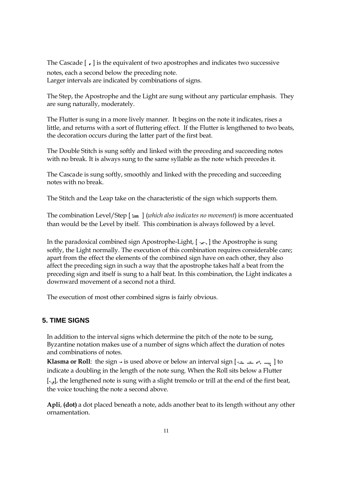The Cascade  $\lceil \cdot \rceil$  is the equivalent of two apostrophes and indicates two successive notes, each a second below the preceding note. Larger intervals are indicated by combinations of signs.

The Step, the Apostrophe and the Light are sung without any particular emphasis. They are sung naturally, moderately.

The Flutter is sung in a more lively manner. It begins on the note it indicates, rises a little, and returns with a sort of fluttering effect. If the Flutter is lengthened to two beats, the decoration occurs during the latter part of the first beat.

The Double Stitch is sung softly and linked with the preceding and succeeding notes with no break. It is always sung to the same syllable as the note which precedes it.

The Cascade is sung softly, smoothly and linked with the preceding and succeeding notes with no break.

The Stitch and the Leap take on the characteristic of the sign which supports them.

The combination Level/Step  $[ \equiv ]$  (*which also indicates no movement*) is more accentuated than would be the Level by itself. This combination is always followed by a level.

In the paradoxical combined sign Apostrophe-Light,  $[\infty]$  the Apostrophe is sung softly, the Light normally. The execution of this combination requires considerable care; apart from the effect the elements of the combined sign have on each other, they also affect the preceding sign in such a way that the apostrophe takes half a beat from the preceding sign and itself is sung to a half beat. In this combination, the Light indicates a downward movement of a second not a third.

The execution of most other combined signs is fairly obvious.

#### **5. TIME SIGNS**

In addition to the interval signs which determine the pitch of the note to be sung, Byzantine notation makes use of a number of signs which affect the duration of notes and combinations of notes.

**Klasma or Roll:** the sign  $\sim$  is used above or below an interval sign  $[\sim \sim \sim \sim]$  to indicate a doubling in the length of the note sung. When the Roll sits below a Flutter

 $\lceil \bigcirc \rceil$ , the lengthened note is sung with a slight tremolo or trill at the end of the first beat, the voice touching the note a second above.

**Apli**, **(dot)** a dot placed beneath a note, adds another beat to its length without any other ornamentation.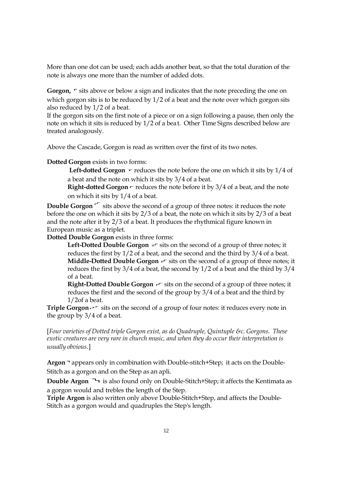More than one dot can be used; each adds another beat, so that the total duration of the note is always one more than the number of added dots.

Gorgon,  $\Gamma$  sits above or below a sign and indicates that the note preceding the one on which gorgon sits is to be reduced by  $1/2$  of a beat and the note over which gorgon sits also reduced by 1/2 of a beat.

If the gorgon sits on the first note of a piece or on a sign following a pause, then only the note on which it sits is reduced by 1/2 of a beat. Other Time Signs described below are treated analogously.

Above the Cascade, Gorgon is read as written over the first of its two notes.

**Dotted Gorgon** exists in two forms:

**Left-dotted Gorgon**  $\mathbf{r}$  reduces the note before the one on which it sits by 1/4 of a beat and the note on which it sits by 3/4 of a beat.

**Right-dotted Gorgon**  $\sim$  reduces the note before it by 3/4 of a beat, and the note on which it sits by 1/4 of a beat.

**Double Gorgon** <sup> $\Gamma$ </sup> sits above the second of a group of three notes: it reduces the note before the one on which it sits by 2/3 of a beat, the note on which it sits by 2/3 of a beat and the note after it by 2/3 of a beat. It produces the rhythmical figure known in European music as a triplet.

**Dotted Double Gorgon** exists in three forms:

**Left-Dotted Double Gorgon**  $\tau$  sits on the second of a group of three notes; it reduces the first by 1/2 of a beat, and the second and the third by 3/4 of a beat. **Middle-Dotted Double Gorgon**  $\tau$  sits on the second of a group of three notes; it reduces the first by 3/4 of a beat, the second by 1/2 of a beat and the third by 3/4 of a beat.

**Right-Dotted Double Gorgon**  $\tau$  sits on the second of a group of three notes; it reduces the first and the second of the group by 3/4 of a beat and the third by 1/2of a beat.

Triple Gorgon  $-$  sits on the second of a group of four notes: it reduces every note in the group by 3/4 of a beat.

[*Four varieties of Dotted triple Gorgon exist, as do Quadruple, Quintuple &c. Gorgons. These exotic creatures are very rare in church music, and when they do occur their interpretation is usually obvious.*]

Argon <sup>*n*</sup> appears only in combination with Double-stitch+Step; it acts on the Double-Stitch as a gorgon and on the Step as an apli.

**Double Argon** Ris also found only on Double-Stitch+Step; it affects the Kentimata as a gorgon would and trebles the length of the Step.

**Triple Argon** is also written only above Double-Stitch+Step, and affects the Double-Stitch as a gorgon would and quadruples the Step's length.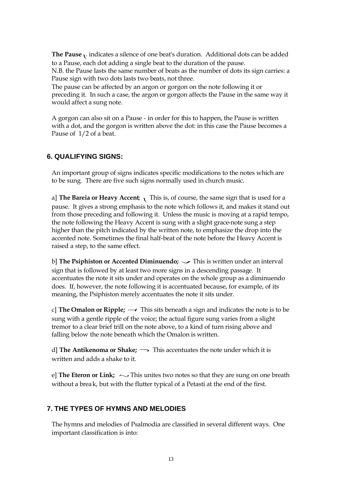**The Pause z**. indicates a silence of one beat's duration. Additional dots can be added to a Pause, each dot adding a single beat to the duration of the pause.

N.B. the Pause lasts the same number of beats as the number of dots its sign carries: a Pause sign with two dots lasts two beats, not three.

The pause can be affected by an argon or gorgon on the note following it or preceding it. In such a case, the argon or gorgon affects the Pause in the same way it would affect a sung note.

A gorgon can also sit on a Pause - in order for this to happen, the Pause is written with a dot, and the gorgon is written above the dot: in this case the Pause becomes a Pause of 1/2 of a beat.

#### **6. QUALIFYING SIGNS:**

An important group of signs indicates specific modifications to the notes which are to be sung. There are five such signs normally used in church music.

a] **The Bareia or Heavy Accent**;  $\chi$  This is, of course, the same sign that is used for a pause. It gives a strong emphasis to the note which follows it, and makes it stand out from those preceding and following it. Unless the music is moving at a rapid tempo, the note following the Heavy Accent is sung with a slight grace-note sung a step higher than the pitch indicated by the written note, to emphasize the drop into the accented note. Sometimes the final half-beat of the note before the Heavy Accent is raised a step, to the same effect.

b] **The Psiphiston or Accented Diminuendo;**  $\sim$  This is written under an interval sign that is followed by at least two more signs in a descending passage. It accentuates the note it sits under and operates on the whole group as a diminuendo does. If, however, the note following it is accentuated because, for example, of its meaning, the Psiphiston merely accentuates the note it sits under.

c] **The Omalon or Ripple;**  $\rightarrow$  This sits beneath a sign and indicates the note is to be sung with a gentle ripple of the voice; the actual figure sung varies from a slight tremor to a clear brief trill on the note above, to a kind of turn rising above and falling below the note beneath which the Omalon is written.

d] **The Antikenoma or Shake;** *x*This accentuates the note under which it is written and adds a shake to it.

e] **The Eteron or Link;**  $\sim$  This unites two notes so that they are sung on one breath without a break, but with the flutter typical of a Petasti at the end of the first.

#### **7. THE TYPES OF HYMNS AND MELODIES**

The hymns and melodies of Psalmodia are classified in several different ways. One important classification is into: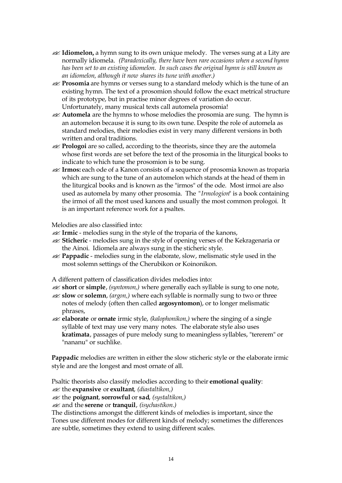- **EX** Idiomelon, a hymn sung to its own unique melody. The verses sung at a Lity are normally idiomela. *(Paradoxically, there have been rare occasions when a second hymn has been set to an existing idiomelon. In such cases the original hymn is still known as an idiomelon, although it now shares its tune with another.)*
- **EX** Prosomia are hymns or verses sung to a standard melody which is the tune of an existing hymn. The text of a prosomion should follow the exact metrical structure of its prototype, but in practise minor degrees of variation do occur. Unfortunately, many musical texts call automela prosomia!
- **EX Automela** are the hymns to whose melodies the prosomia are sung. The hymn is an automelon because it is sung to its own tune. Despite the role of automela as standard melodies, their melodies exist in very many different versions in both written and oral traditions.
- ?? **Prologoi** are so called, according to the theorists, since they are the automela whose first words are set before the text of the prosomia in the liturgical books to indicate to which tune the prosomion is to be sung.
- ?? **Irmos:** each ode of a Kanon consists of a sequence of prosomia known as troparia which are sung to the tune of an automelon which stands at the head of them in the liturgical books and is known as the "irmos" of the ode. Most irmoi are also used as automela by many other prosomia. The *"Irmologion*" is a book containing the irmoi of all the most used kanons and usually the most common prologoi. It is an important reference work for a psaltes.

Melodies are also classified into:

- **Example 15 Irmic** melodies sung in the style of the troparia of the kanons,
- ?? **Sticheric** melodies sung in the style of opening verses of the Kekragenaria or the Ainoi. Idiomela are always sung in the sticheric style.
- ?? **Pappadic** melodies sung in the elaborate, slow, melismatic style used in the most solemn settings of the Cherubikon or Koinonikon.

A different pattern of classification divides melodies into:

- ?? **short** or **simple**, *(syntomon,)* where generally each syllable is sung to one note,
- ?? **slow** or **solemn**, *(argon,)* where each syllable is normally sung to two or three notes of melody (often then called **argosyntomon**), or to longer melismatic phrases,
- ?? **elaborate** or **ornate** irmic style, *(kalophonikon,)* where the singing of a single syllable of text may use very many notes. The elaborate style also uses **kratimata**, passages of pure melody sung to meaningless syllables, "tererem" or "nananu" or suchlike.

**Pappadic** melodies are written in either the slow sticheric style or the elaborate irmic style and are the longest and most ornate of all.

Psaltic theorists also classify melodies according to their **emotional quality**: ?? the **expansive** or **exultant**, *(diastaltikon,)*

?? the **poignant**, **sorrowful** or **sad**, *(systaltikon,)*

?? and the **serene** or **tranquil**, *(isychastikon.)* 

The distinctions amongst the different kinds of melodies is important, since the Tones use different modes for different kinds of melody; sometimes the differences are subtle, sometimes they extend to using different scales.